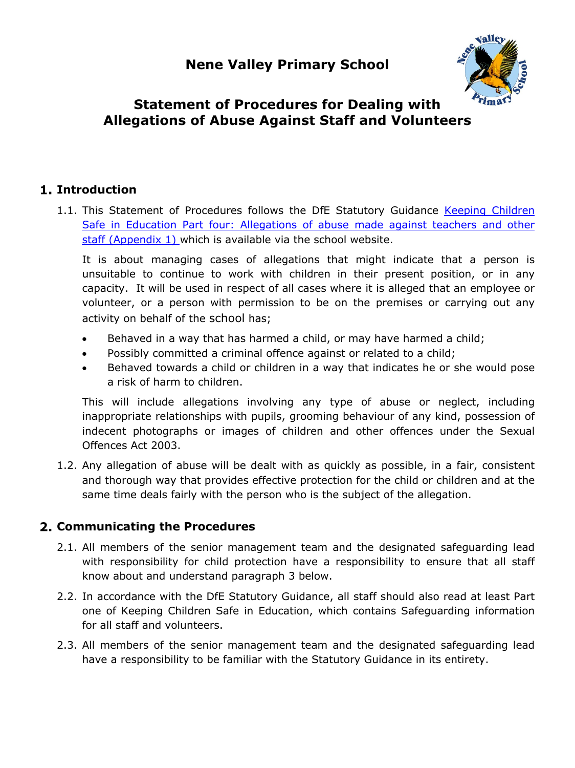

# **Statement of Procedures for Dealing with Allegations of Abuse Against Staff and Volunteers**

### **Introduction**

1.1. This Statement of Procedures follows the DfE Statutory Guidance Keeping Children Safe in Education Part four: Allegations of abuse made against teachers and other staff (Appendix 1) which is available via the school website.

It is about managing cases of allegations that might indicate that a person is unsuitable to continue to work with children in their present position, or in any capacity. It will be used in respect of all cases where it is alleged that an employee or volunteer, or a person with permission to be on the premises or carrying out any activity on behalf of the school has;

- Behaved in a way that has harmed a child, or may have harmed a child;
- Possibly committed a criminal offence against or related to a child;
- Behaved towards a child or children in a way that indicates he or she would pose a risk of harm to children.

This will include allegations involving any type of abuse or neglect, including inappropriate relationships with pupils, grooming behaviour of any kind, possession of indecent photographs or images of children and other offences under the Sexual Offences Act 2003.

1.2. Any allegation of abuse will be dealt with as quickly as possible, in a fair, consistent and thorough way that provides effective protection for the child or children and at the same time deals fairly with the person who is the subject of the allegation.

### **Communicating the Procedures**

- 2.1. All members of the senior management team and the designated safeguarding lead with responsibility for child protection have a responsibility to ensure that all staff know about and understand paragraph 3 below.
- 2.2. In accordance with the DfE Statutory Guidance, all staff should also read at least Part one of Keeping Children Safe in Education, which contains Safeguarding information for all staff and volunteers.
- 2.3. All members of the senior management team and the designated safeguarding lead have a responsibility to be familiar with the Statutory Guidance in its entirety.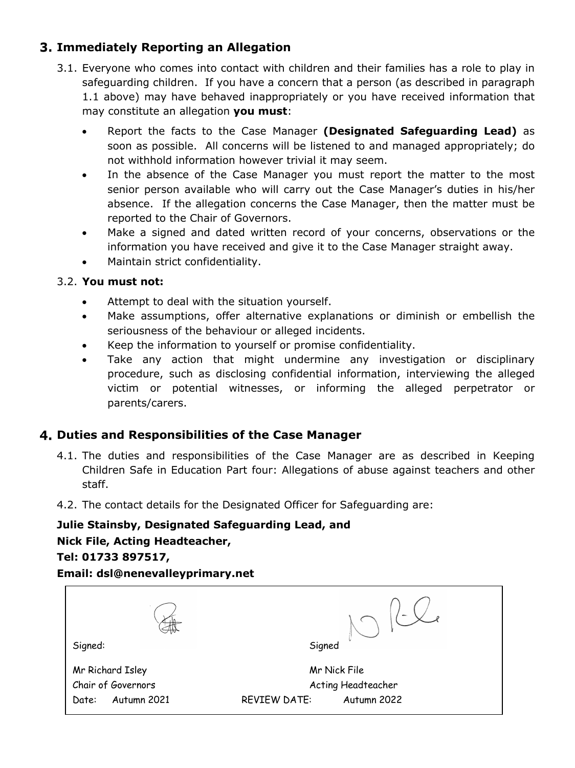# **Immediately Reporting an Allegation**

- 3.1. Everyone who comes into contact with children and their families has a role to play in safeguarding children. If you have a concern that a person (as described in paragraph 1.1 above) may have behaved inappropriately or you have received information that may constitute an allegation **you must**:
	- Report the facts to the Case Manager **(Designated Safeguarding Lead)** as soon as possible. All concerns will be listened to and managed appropriately; do not withhold information however trivial it may seem.
	- In the absence of the Case Manager you must report the matter to the most senior person available who will carry out the Case Manager's duties in his/her absence. If the allegation concerns the Case Manager, then the matter must be reported to the Chair of Governors.
	- Make a signed and dated written record of your concerns, observations or the information you have received and give it to the Case Manager straight away.
	- Maintain strict confidentiality.

#### 3.2. **You must not:**

- Attempt to deal with the situation yourself.
- Make assumptions, offer alternative explanations or diminish or embellish the seriousness of the behaviour or alleged incidents.
- Keep the information to yourself or promise confidentiality.
- Take any action that might undermine any investigation or disciplinary procedure, such as disclosing confidential information, interviewing the alleged victim or potential witnesses, or informing the alleged perpetrator or parents/carers.

### **Duties and Responsibilities of the Case Manager**

- 4.1. The duties and responsibilities of the Case Manager are as described in Keeping Children Safe in Education Part four: Allegations of abuse against teachers and other staff.
- 4.2. The contact details for the Designated Officer for Safeguarding are:

# **Julie Stainsby, Designated Safeguarding Lead, and**

### **Nick File, Acting Headteacher,**

#### **Tel: 01733 897517,**

#### **Email: dsl@nenevalleyprimary.net**

|                      | $\sim$                             |
|----------------------|------------------------------------|
| Signed:              | Signed                             |
| Mr Richard Isley     | Mr Nick File                       |
| Chair of Governors   | Acting Headteacher                 |
| Autumn 2021<br>Date: | <b>REVIEW DATE:</b><br>Autumn 2022 |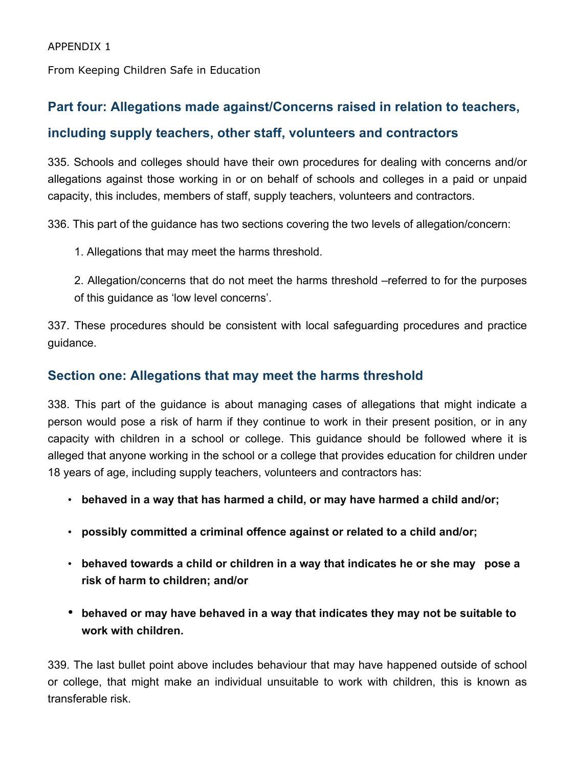From Keeping Children Safe in Education

# **Part four: Allegations made against/Concerns raised in relation to teachers,**

### **including supply teachers, other staff, volunteers and contractors**

335. Schools and colleges should have their own procedures for dealing with concerns and/or allegations against those working in or on behalf of schools and colleges in a paid or unpaid capacity, this includes, members of staff, supply teachers, volunteers and contractors.

336. This part of the guidance has two sections covering the two levels of allegation/concern:

1. Allegations that may meet the harms threshold.

2. Allegation/concerns that do not meet the harms threshold –referred to for the purposes of this guidance as 'low level concerns'.

337. These procedures should be consistent with local safeguarding procedures and practice guidance.

### **Section one: Allegations that may meet the harms threshold**

338. This part of the guidance is about managing cases of allegations that might indicate a person would pose a risk of harm if they continue to work in their present position, or in any capacity with children in a school or college. This guidance should be followed where it is alleged that anyone working in the school or a college that provides education for children under 18 years of age, including supply teachers, volunteers and contractors has:

- **behaved in a way that has harmed a child, or may have harmed a child and/or;**
- **possibly committed a criminal offence against or related to a child and/or;**
- **behaved towards a child or children in a way that indicates he or she may pose a risk of harm to children; and/or**
- **behaved or may have behaved in a way that indicates they may not be suitable to work with children.**

339. The last bullet point above includes behaviour that may have happened outside of school or college, that might make an individual unsuitable to work with children, this is known as transferable risk.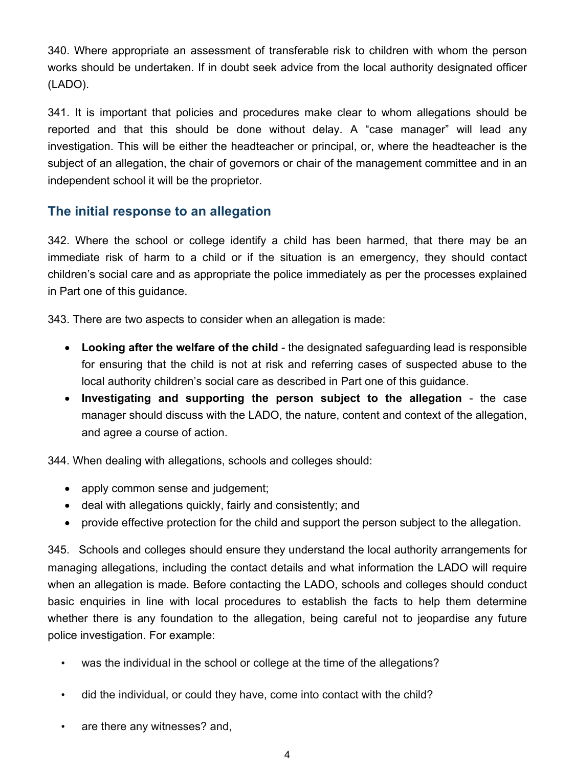340. Where appropriate an assessment of transferable risk to children with whom the person works should be undertaken. If in doubt seek advice from the local authority designated officer (LADO).

341. It is important that policies and procedures make clear to whom allegations should be reported and that this should be done without delay. A "case manager" will lead any investigation. This will be either the headteacher or principal, or, where the headteacher is the subject of an allegation, the chair of governors or chair of the management committee and in an independent school it will be the proprietor.

# **The initial response to an allegation**

342. Where the school or college identify a child has been harmed, that there may be an immediate risk of harm to a child or if the situation is an emergency, they should contact children's social care and as appropriate the police immediately as per the processes explained in Part one of this guidance.

343. There are two aspects to consider when an allegation is made:

- **Looking after the welfare of the child**  the designated safeguarding lead is responsible for ensuring that the child is not at risk and referring cases of suspected abuse to the local authority children's social care as described in Part one of this guidance.
- **Investigating and supporting the person subject to the allegation**  the case manager should discuss with the LADO, the nature, content and context of the allegation, and agree a course of action.

344. When dealing with allegations, schools and colleges should:

- apply common sense and judgement;
- deal with allegations quickly, fairly and consistently; and
- provide effective protection for the child and support the person subject to the allegation.

345. Schools and colleges should ensure they understand the local authority arrangements for managing allegations, including the contact details and what information the LADO will require when an allegation is made. Before contacting the LADO, schools and colleges should conduct basic enquiries in line with local procedures to establish the facts to help them determine whether there is any foundation to the allegation, being careful not to jeopardise any future police investigation. For example:

- was the individual in the school or college at the time of the allegations?
- did the individual, or could they have, come into contact with the child?
- are there any witnesses? and,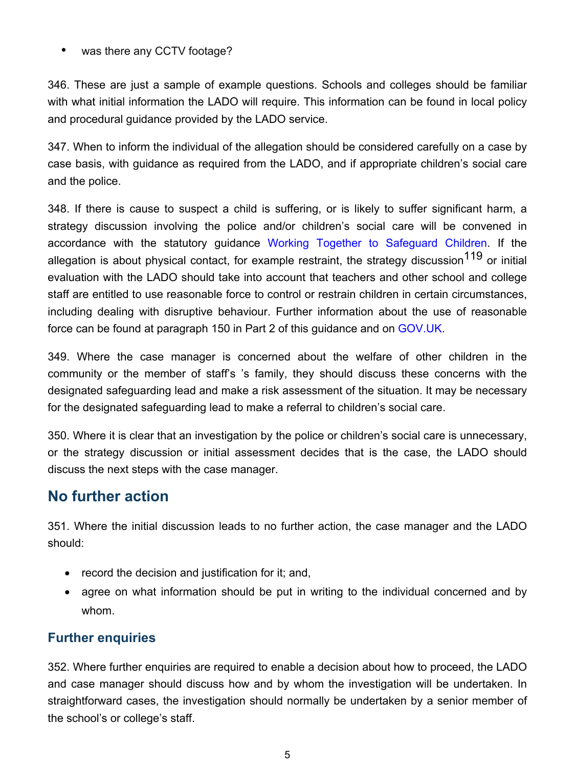• was there any CCTV footage?

346. These are just a sample of example questions. Schools and colleges should be familiar with what initial information the LADO will require. This information can be found in local policy and procedural guidance provided by the LADO service.

347. When to inform the individual of the allegation should be considered carefully on a case by case basis, with guidance as required from the LADO, and if appropriate children's social care and the police.

348. If there is cause to suspect a child is suffering, or is likely to suffer significant harm, a strategy discussion involving the police and/or children's social care will be convened in accordance with the statutory guidance Working Together to Safeguard Children. If the allegation is about physical contact, for example restraint, the strategy discussion<sup>119</sup> or initial evaluation with the LADO should take into account that teachers and other school and college staff are entitled to use reasonable force to control or restrain children in certain circumstances, including dealing with disruptive behaviour. Further information about the use of reasonable force can be found at paragraph 150 in Part 2 of this guidance and on GOV.UK.

349. Where the case manager is concerned about the welfare of other children in the community or the member of staff's 's family, they should discuss these concerns with the designated safeguarding lead and make a risk assessment of the situation. It may be necessary for the designated safeguarding lead to make a referral to children's social care.

350. Where it is clear that an investigation by the police or children's social care is unnecessary, or the strategy discussion or initial assessment decides that is the case, the LADO should discuss the next steps with the case manager.

# **No further action**

351. Where the initial discussion leads to no further action, the case manager and the LADO should:

- record the decision and justification for it; and,
- agree on what information should be put in writing to the individual concerned and by whom.

# **Further enquiries**

352. Where further enquiries are required to enable a decision about how to proceed, the LADO and case manager should discuss how and by whom the investigation will be undertaken. In straightforward cases, the investigation should normally be undertaken by a senior member of the school's or college's staff.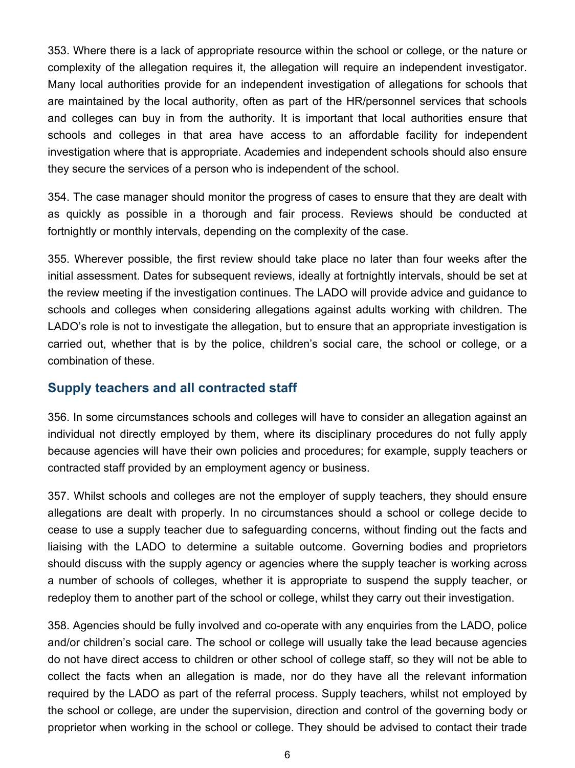353. Where there is a lack of appropriate resource within the school or college, or the nature or complexity of the allegation requires it, the allegation will require an independent investigator. Many local authorities provide for an independent investigation of allegations for schools that are maintained by the local authority, often as part of the HR/personnel services that schools and colleges can buy in from the authority. It is important that local authorities ensure that schools and colleges in that area have access to an affordable facility for independent investigation where that is appropriate. Academies and independent schools should also ensure they secure the services of a person who is independent of the school.

354. The case manager should monitor the progress of cases to ensure that they are dealt with as quickly as possible in a thorough and fair process. Reviews should be conducted at fortnightly or monthly intervals, depending on the complexity of the case.

355. Wherever possible, the first review should take place no later than four weeks after the initial assessment. Dates for subsequent reviews, ideally at fortnightly intervals, should be set at the review meeting if the investigation continues. The LADO will provide advice and guidance to schools and colleges when considering allegations against adults working with children. The LADO's role is not to investigate the allegation, but to ensure that an appropriate investigation is carried out, whether that is by the police, children's social care, the school or college, or a combination of these.

### **Supply teachers and all contracted staff**

356. In some circumstances schools and colleges will have to consider an allegation against an individual not directly employed by them, where its disciplinary procedures do not fully apply because agencies will have their own policies and procedures; for example, supply teachers or contracted staff provided by an employment agency or business.

357. Whilst schools and colleges are not the employer of supply teachers, they should ensure allegations are dealt with properly. In no circumstances should a school or college decide to cease to use a supply teacher due to safeguarding concerns, without finding out the facts and liaising with the LADO to determine a suitable outcome. Governing bodies and proprietors should discuss with the supply agency or agencies where the supply teacher is working across a number of schools of colleges, whether it is appropriate to suspend the supply teacher, or redeploy them to another part of the school or college, whilst they carry out their investigation.

358. Agencies should be fully involved and co-operate with any enquiries from the LADO, police and/or children's social care. The school or college will usually take the lead because agencies do not have direct access to children or other school of college staff, so they will not be able to collect the facts when an allegation is made, nor do they have all the relevant information required by the LADO as part of the referral process. Supply teachers, whilst not employed by the school or college, are under the supervision, direction and control of the governing body or proprietor when working in the school or college. They should be advised to contact their trade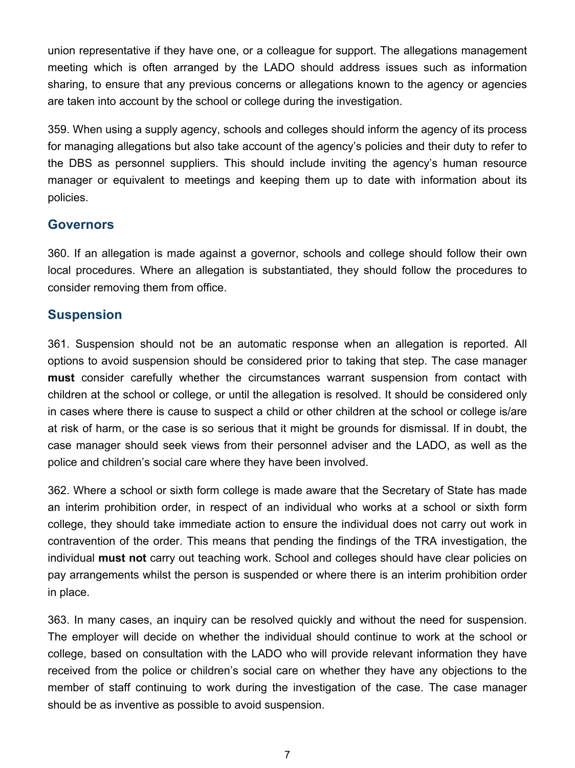union representative if they have one, or a colleague for support. The allegations management meeting which is often arranged by the LADO should address issues such as information sharing, to ensure that any previous concerns or allegations known to the agency or agencies are taken into account by the school or college during the investigation.

359. When using a supply agency, schools and colleges should inform the agency of its process for managing allegations but also take account of the agency's policies and their duty to refer to the DBS as personnel suppliers. This should include inviting the agency's human resource manager or equivalent to meetings and keeping them up to date with information about its policies.

#### **Governors**

360. If an allegation is made against a governor, schools and college should follow their own local procedures. Where an allegation is substantiated, they should follow the procedures to consider removing them from office.

### **Suspension**

361. Suspension should not be an automatic response when an allegation is reported. All options to avoid suspension should be considered prior to taking that step. The case manager **must** consider carefully whether the circumstances warrant suspension from contact with children at the school or college, or until the allegation is resolved. It should be considered only in cases where there is cause to suspect a child or other children at the school or college is/are at risk of harm, or the case is so serious that it might be grounds for dismissal. If in doubt, the case manager should seek views from their personnel adviser and the LADO, as well as the police and children's social care where they have been involved.

362. Where a school or sixth form college is made aware that the Secretary of State has made an interim prohibition order, in respect of an individual who works at a school or sixth form college, they should take immediate action to ensure the individual does not carry out work in contravention of the order. This means that pending the findings of the TRA investigation, the individual **must not** carry out teaching work. School and colleges should have clear policies on pay arrangements whilst the person is suspended or where there is an interim prohibition order in place.

363. In many cases, an inquiry can be resolved quickly and without the need for suspension. The employer will decide on whether the individual should continue to work at the school or college, based on consultation with the LADO who will provide relevant information they have received from the police or children's social care on whether they have any objections to the member of staff continuing to work during the investigation of the case. The case manager should be as inventive as possible to avoid suspension.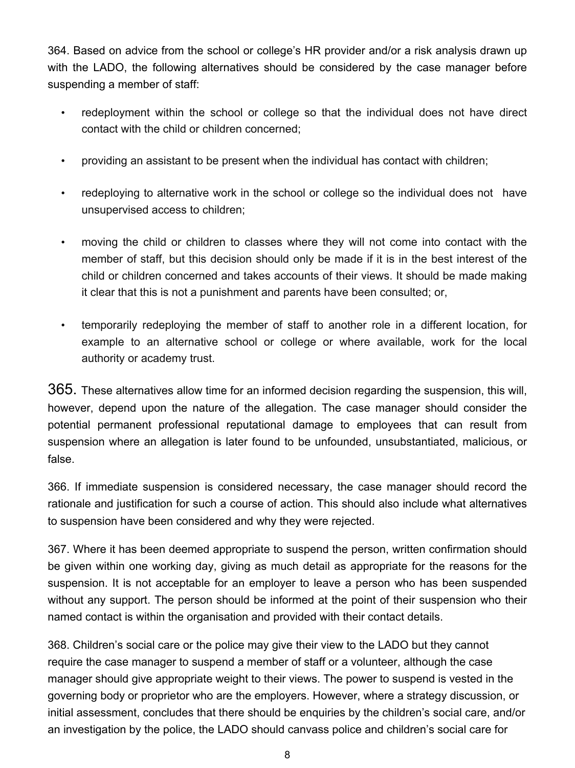364. Based on advice from the school or college's HR provider and/or a risk analysis drawn up with the LADO, the following alternatives should be considered by the case manager before suspending a member of staff:

- redeployment within the school or college so that the individual does not have direct contact with the child or children concerned;
- providing an assistant to be present when the individual has contact with children;
- redeploying to alternative work in the school or college so the individual does not have unsupervised access to children;
- moving the child or children to classes where they will not come into contact with the member of staff, but this decision should only be made if it is in the best interest of the child or children concerned and takes accounts of their views. It should be made making it clear that this is not a punishment and parents have been consulted; or,
- temporarily redeploying the member of staff to another role in a different location, for example to an alternative school or college or where available, work for the local authority or academy trust.

365. These alternatives allow time for an informed decision regarding the suspension, this will, however, depend upon the nature of the allegation. The case manager should consider the potential permanent professional reputational damage to employees that can result from suspension where an allegation is later found to be unfounded, unsubstantiated, malicious, or false.

366. If immediate suspension is considered necessary, the case manager should record the rationale and justification for such a course of action. This should also include what alternatives to suspension have been considered and why they were rejected.

367. Where it has been deemed appropriate to suspend the person, written confirmation should be given within one working day, giving as much detail as appropriate for the reasons for the suspension. It is not acceptable for an employer to leave a person who has been suspended without any support. The person should be informed at the point of their suspension who their named contact is within the organisation and provided with their contact details.

368. Children's social care or the police may give their view to the LADO but they cannot require the case manager to suspend a member of staff or a volunteer, although the case manager should give appropriate weight to their views. The power to suspend is vested in the governing body or proprietor who are the employers. However, where a strategy discussion, or initial assessment, concludes that there should be enquiries by the children's social care, and/or an investigation by the police, the LADO should canvass police and children's social care for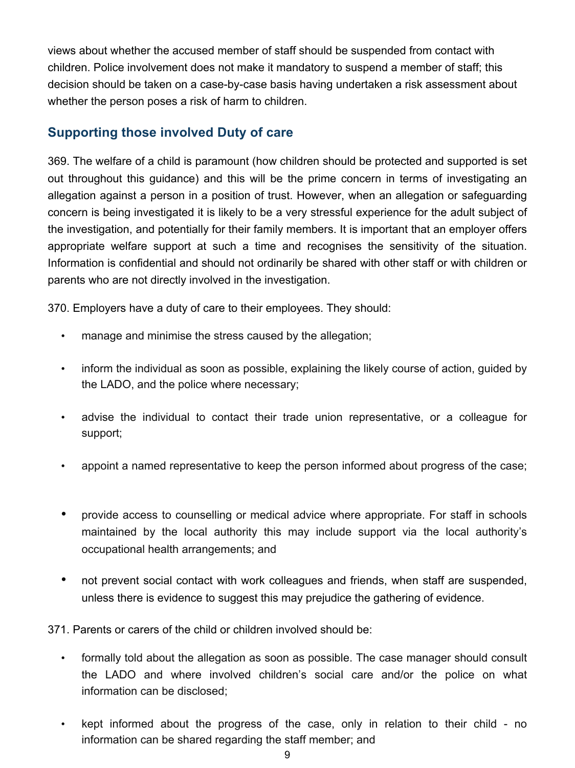views about whether the accused member of staff should be suspended from contact with children. Police involvement does not make it mandatory to suspend a member of staff; this decision should be taken on a case-by-case basis having undertaken a risk assessment about whether the person poses a risk of harm to children.

### **Supporting those involved Duty of care**

369. The welfare of a child is paramount (how children should be protected and supported is set out throughout this guidance) and this will be the prime concern in terms of investigating an allegation against a person in a position of trust. However, when an allegation or safeguarding concern is being investigated it is likely to be a very stressful experience for the adult subject of the investigation, and potentially for their family members. It is important that an employer offers appropriate welfare support at such a time and recognises the sensitivity of the situation. Information is confidential and should not ordinarily be shared with other staff or with children or parents who are not directly involved in the investigation.

370. Employers have a duty of care to their employees. They should:

- manage and minimise the stress caused by the allegation;
- inform the individual as soon as possible, explaining the likely course of action, guided by the LADO, and the police where necessary;
- advise the individual to contact their trade union representative, or a colleague for support;
- appoint a named representative to keep the person informed about progress of the case;
- provide access to counselling or medical advice where appropriate. For staff in schools maintained by the local authority this may include support via the local authority's occupational health arrangements; and
- not prevent social contact with work colleagues and friends, when staff are suspended, unless there is evidence to suggest this may prejudice the gathering of evidence.

371. Parents or carers of the child or children involved should be:

- formally told about the allegation as soon as possible. The case manager should consult the LADO and where involved children's social care and/or the police on what information can be disclosed;
- kept informed about the progress of the case, only in relation to their child no information can be shared regarding the staff member; and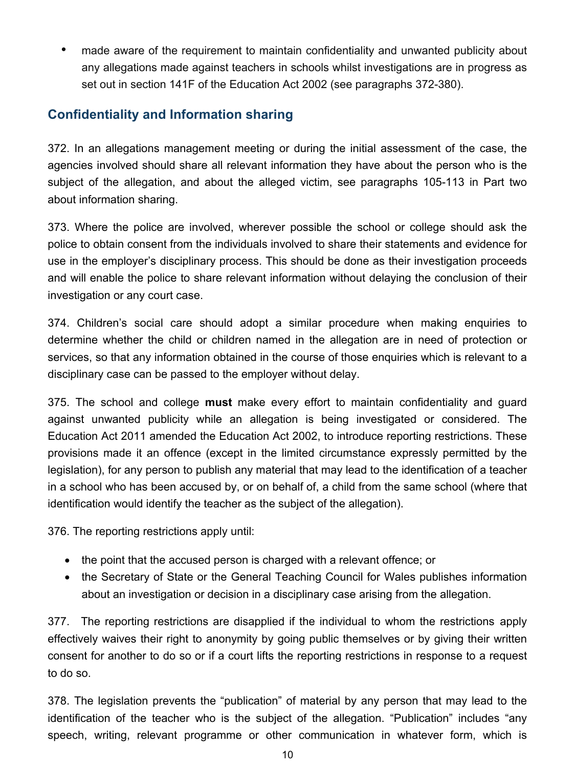• made aware of the requirement to maintain confidentiality and unwanted publicity about any allegations made against teachers in schools whilst investigations are in progress as set out in section 141F of the Education Act 2002 (see paragraphs 372-380).

# **Confidentiality and Information sharing**

372. In an allegations management meeting or during the initial assessment of the case, the agencies involved should share all relevant information they have about the person who is the subject of the allegation, and about the alleged victim, see paragraphs 105-113 in Part two about information sharing.

373. Where the police are involved, wherever possible the school or college should ask the police to obtain consent from the individuals involved to share their statements and evidence for use in the employer's disciplinary process. This should be done as their investigation proceeds and will enable the police to share relevant information without delaying the conclusion of their investigation or any court case.

374. Children's social care should adopt a similar procedure when making enquiries to determine whether the child or children named in the allegation are in need of protection or services, so that any information obtained in the course of those enquiries which is relevant to a disciplinary case can be passed to the employer without delay.

375. The school and college **must** make every effort to maintain confidentiality and guard against unwanted publicity while an allegation is being investigated or considered. The Education Act 2011 amended the Education Act 2002, to introduce reporting restrictions. These provisions made it an offence (except in the limited circumstance expressly permitted by the legislation), for any person to publish any material that may lead to the identification of a teacher in a school who has been accused by, or on behalf of, a child from the same school (where that identification would identify the teacher as the subject of the allegation).

376. The reporting restrictions apply until:

- the point that the accused person is charged with a relevant offence; or
- the Secretary of State or the General Teaching Council for Wales publishes information about an investigation or decision in a disciplinary case arising from the allegation.

377. The reporting restrictions are disapplied if the individual to whom the restrictions apply effectively waives their right to anonymity by going public themselves or by giving their written consent for another to do so or if a court lifts the reporting restrictions in response to a request to do so.

378. The legislation prevents the "publication" of material by any person that may lead to the identification of the teacher who is the subject of the allegation. "Publication" includes "any speech, writing, relevant programme or other communication in whatever form, which is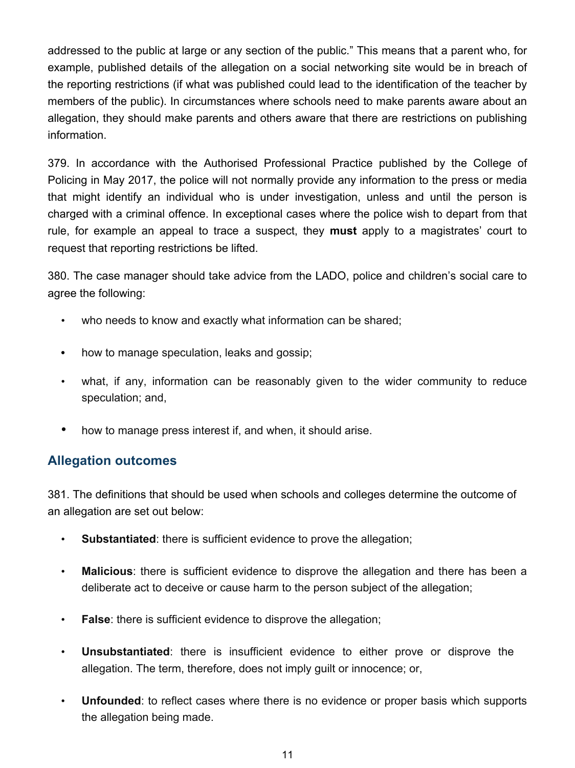addressed to the public at large or any section of the public." This means that a parent who, for example, published details of the allegation on a social networking site would be in breach of the reporting restrictions (if what was published could lead to the identification of the teacher by members of the public). In circumstances where schools need to make parents aware about an allegation, they should make parents and others aware that there are restrictions on publishing information.

379. In accordance with the Authorised Professional Practice published by the College of Policing in May 2017, the police will not normally provide any information to the press or media that might identify an individual who is under investigation, unless and until the person is charged with a criminal offence. In exceptional cases where the police wish to depart from that rule, for example an appeal to trace a suspect, they **must** apply to a magistrates' court to request that reporting restrictions be lifted.

380. The case manager should take advice from the LADO, police and children's social care to agree the following:

- who needs to know and exactly what information can be shared;
- how to manage speculation, leaks and gossip;
- what, if any, information can be reasonably given to the wider community to reduce speculation; and,
- how to manage press interest if, and when, it should arise.

### **Allegation outcomes**

381. The definitions that should be used when schools and colleges determine the outcome of an allegation are set out below:

- **Substantiated**: there is sufficient evidence to prove the allegation;
- **Malicious**: there is sufficient evidence to disprove the allegation and there has been a deliberate act to deceive or cause harm to the person subject of the allegation;
- **False**: there is sufficient evidence to disprove the allegation;
- **Unsubstantiated**: there is insufficient evidence to either prove or disprove the allegation. The term, therefore, does not imply guilt or innocence; or,
- **Unfounded**: to reflect cases where there is no evidence or proper basis which supports the allegation being made.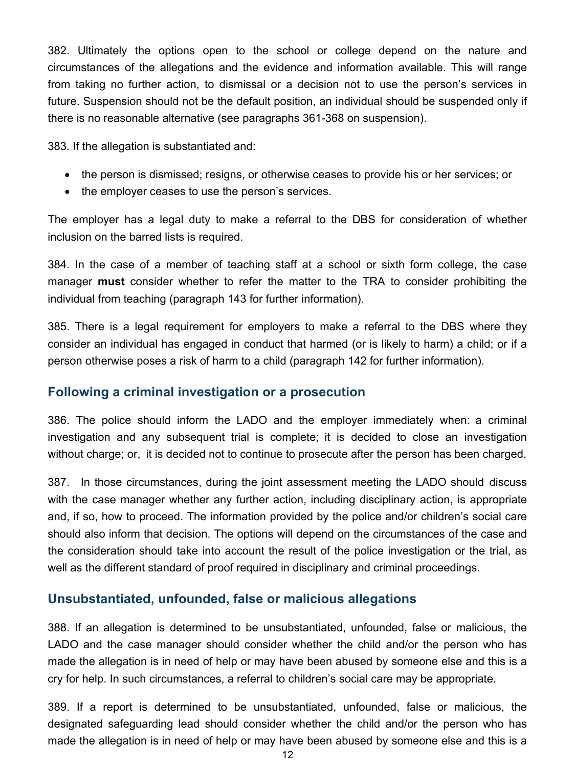382. Ultimately the options open to the school or college depend on the nature and circumstances of the allegations and the evidence and information available. This will range from taking no further action, to dismissal or a decision not to use the person's services in future. Suspension should not be the default position, an individual should be suspended only if there is no reasonable alternative (see paragraphs 361-368 on suspension).

383. If the allegation is substantiated and:

- the person is dismissed; resigns, or otherwise ceases to provide his or her services; or
- the employer ceases to use the person's services.

The employer has a legal duty to make a referral to the DBS for consideration of whether inclusion on the barred lists is required.

384. In the case of a member of teaching staff at a school or sixth form college, the case manager **must** consider whether to refer the matter to the TRA to consider prohibiting the individual from teaching (paragraph 143 for further information).

385. There is a legal requirement for employers to make a referral to the DBS where they consider an individual has engaged in conduct that harmed (or is likely to harm) a child; or if a person otherwise poses a risk of harm to a child (paragraph 142 for further information).

### **Following a criminal investigation or a prosecution**

386. The police should inform the LADO and the employer immediately when: a criminal investigation and any subsequent trial is complete; it is decided to close an investigation without charge; or, it is decided not to continue to prosecute after the person has been charged.

387. In those circumstances, during the joint assessment meeting the LADO should discuss with the case manager whether any further action, including disciplinary action, is appropriate and, if so, how to proceed. The information provided by the police and/or children's social care should also inform that decision. The options will depend on the circumstances of the case and the consideration should take into account the result of the police investigation or the trial, as well as the different standard of proof required in disciplinary and criminal proceedings.

### **Unsubstantiated, unfounded, false or malicious allegations**

388. If an allegation is determined to be unsubstantiated, unfounded, false or malicious, the LADO and the case manager should consider whether the child and/or the person who has made the allegation is in need of help or may have been abused by someone else and this is a cry for help. In such circumstances, a referral to children's social care may be appropriate.

389. If a report is determined to be unsubstantiated, unfounded, false or malicious, the designated safeguarding lead should consider whether the child and/or the person who has made the allegation is in need of help or may have been abused by someone else and this is a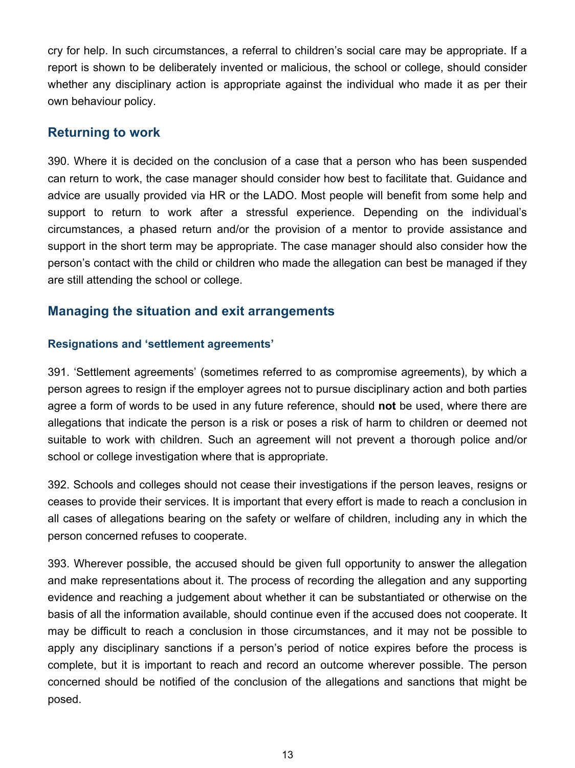cry for help. In such circumstances, a referral to children's social care may be appropriate. If a report is shown to be deliberately invented or malicious, the school or college, should consider whether any disciplinary action is appropriate against the individual who made it as per their own behaviour policy.

### **Returning to work**

390. Where it is decided on the conclusion of a case that a person who has been suspended can return to work, the case manager should consider how best to facilitate that. Guidance and advice are usually provided via HR or the LADO. Most people will benefit from some help and support to return to work after a stressful experience. Depending on the individual's circumstances, a phased return and/or the provision of a mentor to provide assistance and support in the short term may be appropriate. The case manager should also consider how the person's contact with the child or children who made the allegation can best be managed if they are still attending the school or college.

# **Managing the situation and exit arrangements**

#### **Resignations and 'settlement agreements'**

391. 'Settlement agreements' (sometimes referred to as compromise agreements), by which a person agrees to resign if the employer agrees not to pursue disciplinary action and both parties agree a form of words to be used in any future reference, should **not** be used, where there are allegations that indicate the person is a risk or poses a risk of harm to children or deemed not suitable to work with children. Such an agreement will not prevent a thorough police and/or school or college investigation where that is appropriate.

392. Schools and colleges should not cease their investigations if the person leaves, resigns or ceases to provide their services. It is important that every effort is made to reach a conclusion in all cases of allegations bearing on the safety or welfare of children, including any in which the person concerned refuses to cooperate.

393. Wherever possible, the accused should be given full opportunity to answer the allegation and make representations about it. The process of recording the allegation and any supporting evidence and reaching a judgement about whether it can be substantiated or otherwise on the basis of all the information available, should continue even if the accused does not cooperate. It may be difficult to reach a conclusion in those circumstances, and it may not be possible to apply any disciplinary sanctions if a person's period of notice expires before the process is complete, but it is important to reach and record an outcome wherever possible. The person concerned should be notified of the conclusion of the allegations and sanctions that might be posed.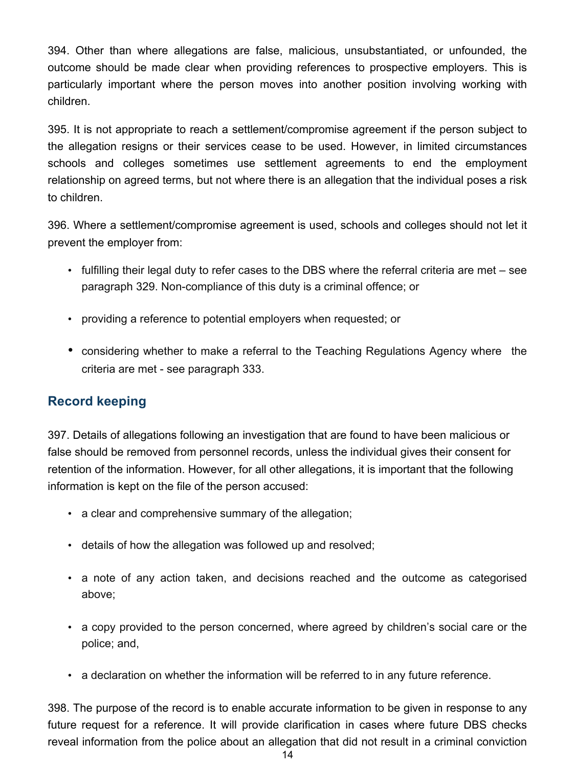394. Other than where allegations are false, malicious, unsubstantiated, or unfounded, the outcome should be made clear when providing references to prospective employers. This is particularly important where the person moves into another position involving working with children.

395. It is not appropriate to reach a settlement/compromise agreement if the person subject to the allegation resigns or their services cease to be used. However, in limited circumstances schools and colleges sometimes use settlement agreements to end the employment relationship on agreed terms, but not where there is an allegation that the individual poses a risk to children.

396. Where a settlement/compromise agreement is used, schools and colleges should not let it prevent the employer from:

- fulfilling their legal duty to refer cases to the DBS where the referral criteria are met see paragraph 329. Non-compliance of this duty is a criminal offence; or
- providing a reference to potential employers when requested; or
- considering whether to make a referral to the Teaching Regulations Agency where the criteria are met - see paragraph 333.

# **Record keeping**

397. Details of allegations following an investigation that are found to have been malicious or false should be removed from personnel records, unless the individual gives their consent for retention of the information. However, for all other allegations, it is important that the following information is kept on the file of the person accused:

- a clear and comprehensive summary of the allegation;
- details of how the allegation was followed up and resolved;
- a note of any action taken, and decisions reached and the outcome as categorised above;
- a copy provided to the person concerned, where agreed by children's social care or the police; and,
- a declaration on whether the information will be referred to in any future reference.

398. The purpose of the record is to enable accurate information to be given in response to any future request for a reference. It will provide clarification in cases where future DBS checks reveal information from the police about an allegation that did not result in a criminal conviction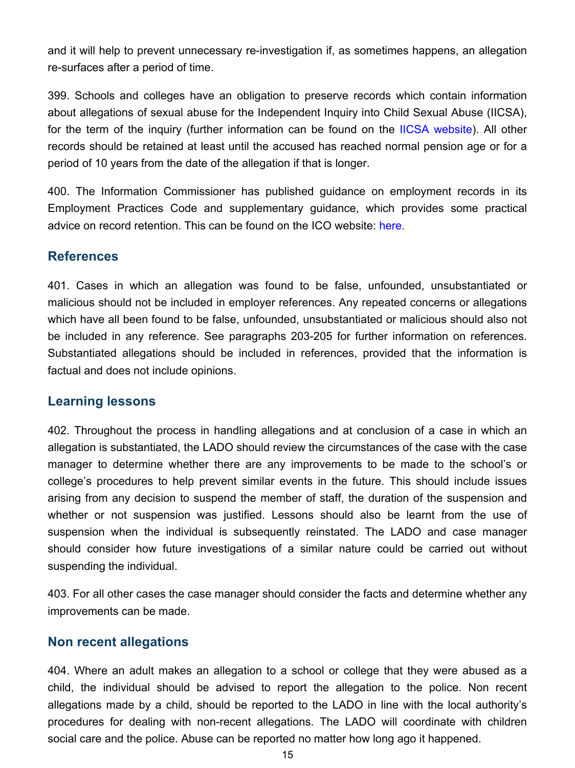and it will help to prevent unnecessary re-investigation if, as sometimes happens, an allegation re-surfaces after a period of time.

399. Schools and colleges have an obligation to preserve records which contain information about allegations of sexual abuse for the Independent Inquiry into Child Sexual Abuse (IICSA), for the term of the inquiry (further information can be found on the IICSA website). All other records should be retained at least until the accused has reached normal pension age or for a period of 10 years from the date of the allegation if that is longer.

400. The Information Commissioner has published guidance on employment records in its Employment Practices Code and supplementary guidance, which provides some practical advice on record retention. This can be found on the ICO website: here.

#### **References**

401. Cases in which an allegation was found to be false, unfounded, unsubstantiated or malicious should not be included in employer references. Any repeated concerns or allegations which have all been found to be false, unfounded, unsubstantiated or malicious should also not be included in any reference. See paragraphs 203-205 for further information on references. Substantiated allegations should be included in references, provided that the information is factual and does not include opinions.

#### **Learning lessons**

402. Throughout the process in handling allegations and at conclusion of a case in which an allegation is substantiated, the LADO should review the circumstances of the case with the case manager to determine whether there are any improvements to be made to the school's or college's procedures to help prevent similar events in the future. This should include issues arising from any decision to suspend the member of staff, the duration of the suspension and whether or not suspension was justified. Lessons should also be learnt from the use of suspension when the individual is subsequently reinstated. The LADO and case manager should consider how future investigations of a similar nature could be carried out without suspending the individual.

403. For all other cases the case manager should consider the facts and determine whether any improvements can be made.

#### **Non recent allegations**

404. Where an adult makes an allegation to a school or college that they were abused as a child, the individual should be advised to report the allegation to the police. Non recent allegations made by a child, should be reported to the LADO in line with the local authority's procedures for dealing with non-recent allegations. The LADO will coordinate with children social care and the police. Abuse can be reported no matter how long ago it happened.